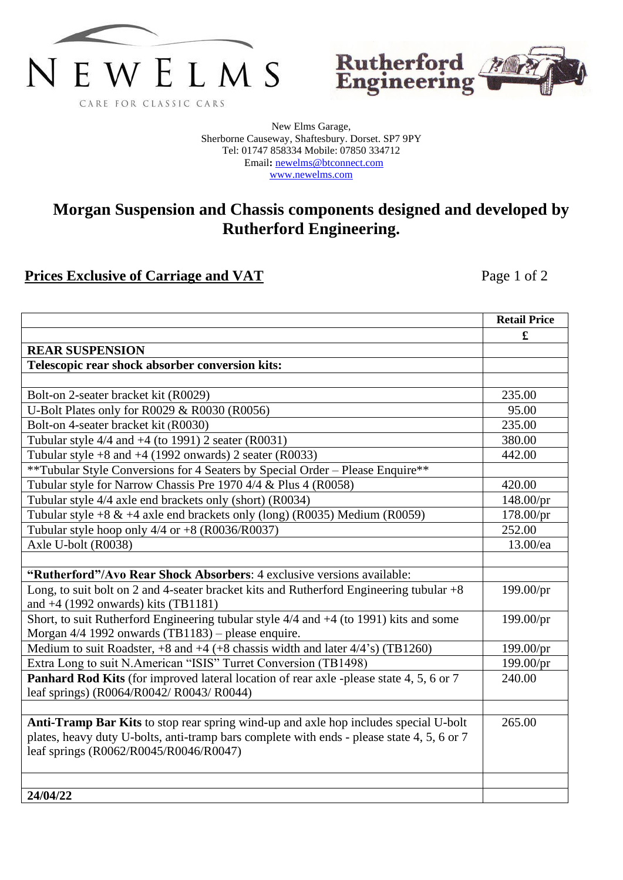



New Elms Garage, Sherborne Causeway, Shaftesbury. Dorset. SP7 9PY Tel: 01747 858334 Mobile: 07850 334712 Email**:** [newelms@btconnect.com](mailto:newelms@btconnect.com) [www.newelms.com](http://www.newelms.com/)

## **Morgan Suspension and Chassis components designed and developed by Rutherford Engineering.**

## **Prices Exclusive of Carriage and VAT** Page 1 of 2

|                                                                                                | <b>Retail Price</b> |
|------------------------------------------------------------------------------------------------|---------------------|
|                                                                                                | £                   |
| <b>REAR SUSPENSION</b>                                                                         |                     |
| Telescopic rear shock absorber conversion kits:                                                |                     |
|                                                                                                |                     |
| Bolt-on 2-seater bracket kit (R0029)                                                           | 235.00              |
| U-Bolt Plates only for R0029 & R0030 (R0056)                                                   | 95.00               |
| Bolt-on 4-seater bracket kit (R0030)                                                           | 235.00              |
| Tubular style $4/4$ and $+4$ (to 1991) 2 seater (R0031)                                        | 380.00              |
| Tubular style $+8$ and $+4$ (1992 onwards) 2 seater (R0033)                                    | 442.00              |
| **Tubular Style Conversions for 4 Seaters by Special Order – Please Enquire**                  |                     |
| Tubular style for Narrow Chassis Pre 1970 4/4 & Plus 4 (R0058)                                 | 420.00              |
| Tubular style 4/4 axle end brackets only (short) (R0034)                                       | 148.00/pr           |
| Tubular style +8 $&$ +4 axle end brackets only (long) (R0035) Medium (R0059)                   | 178.00/pr           |
| Tubular style hoop only $4/4$ or $+8$ (R0036/R0037)                                            | 252.00              |
| Axle U-bolt (R0038)                                                                            | 13.00/ea            |
|                                                                                                |                     |
| "Rutherford"/Avo Rear Shock Absorbers: 4 exclusive versions available:                         |                     |
| Long, to suit bolt on 2 and 4-seater bracket kits and Rutherford Engineering tubular $+8$      | 199.00/pr           |
| and $+4$ (1992 onwards) kits (TB1181)                                                          |                     |
| Short, to suit Rutherford Engineering tubular style 4/4 and +4 (to 1991) kits and some         | 199.00/pr           |
| Morgan 4/4 1992 onwards (TB1183) - please enquire.                                             |                     |
| Medium to suit Roadster, $+8$ and $+4$ ( $+8$ chassis width and later $4/4$ 's) (TB1260)       | 199.00/pr           |
| Extra Long to suit N.American "ISIS" Turret Conversion (TB1498)                                | 199.00/pr           |
| <b>Panhard Rod Kits</b> (for improved lateral location of rear axle -please state 4, 5, 6 or 7 | 240.00              |
| leaf springs) (R0064/R0042/ R0043/ R0044)                                                      |                     |
|                                                                                                |                     |
| Anti-Tramp Bar Kits to stop rear spring wind-up and axle hop includes special U-bolt           | 265.00              |
| plates, heavy duty U-bolts, anti-tramp bars complete with ends - please state 4, 5, 6 or 7     |                     |
| leaf springs (R0062/R0045/R0046/R0047)                                                         |                     |
|                                                                                                |                     |
|                                                                                                |                     |
| 24/04/22                                                                                       |                     |